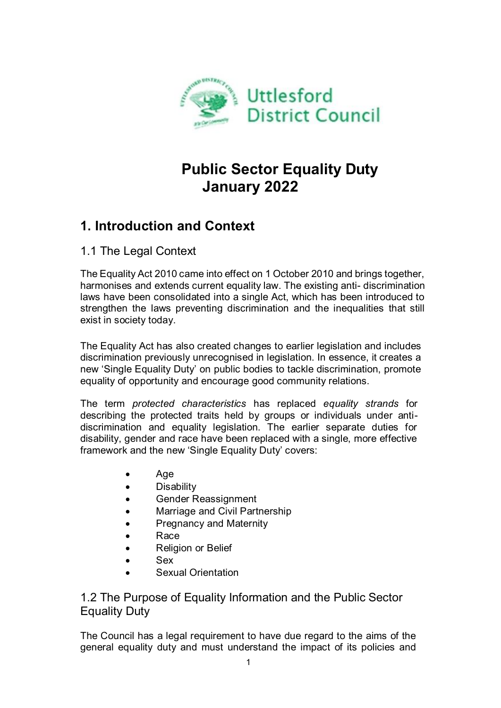

# **Public Sector Equality Duty January 2022**

# **1. Introduction and Context**

1.1 The Legal Context

The Equality Act 2010 came into effect on 1 October 2010 and brings together, harmonises and extends current equality law. The existing anti- discrimination laws have been consolidated into a single Act, which has been introduced to strengthen the laws preventing discrimination and the inequalities that still exist in society today.

The Equality Act has also created changes to earlier legislation and includes discrimination previously unrecognised in legislation. In essence, it creates a new 'Single Equality Duty' on public bodies to tackle discrimination, promote equality of opportunity and encourage good community relations.

The term *protected characteristics* has replaced *equality strands* for describing the protected traits held by groups or individuals under antidiscrimination and equality legislation. The earlier separate duties for disability, gender and race have been replaced with a single, more effective framework and the new 'Single Equality Duty' covers:

- Age
- Disability
- **•** Gender Reassignment
- Marriage and Civil Partnership
- Pregnancy and Maternity
- Race
- Religion or Belief
- Sex
- Sexual Orientation

1.2 The Purpose of Equality Information and the Public Sector Equality Duty

The Council has a legal requirement to have due regard to the aims of the general equality duty and must understand the impact of its policies and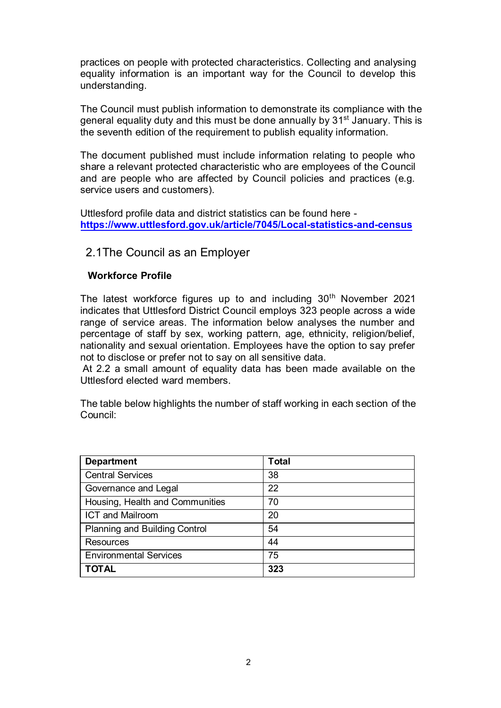practices on people with protected characteristics. Collecting and analysing equality information is an important way for the Council to develop this understanding.

The Council must publish information to demonstrate its compliance with the general equality duty and this must be done annually by 31<sup>st</sup> January. This is the seventh edition of the requirement to publish equality information.

The document published must include information relating to people who share a relevant protected characteristic who are employees of the Council and are people who are affected by Council policies and practices (e.g. service users and customers).

Uttlesford profile data and district statistics can be found here **<https://www.uttlesford.gov.uk/article/7045/Local-statistics-and-census>**

#### 2.1The Council as an Employer

#### **Workforce Profile**

The latest workforce figures up to and including 30<sup>th</sup> November 2021 indicates that Uttlesford District Council employs 323 people across a wide range of service areas. The information below analyses the number and percentage of staff by sex, working pattern, age, ethnicity, religion/belief, nationality and sexual orientation. Employees have the option to say prefer not to disclose or prefer not to say on all sensitive data.

At 2.2 a small amount of equality data has been made available on the Uttlesford elected ward members.

The table below highlights the number of staff working in each section of the Council:

| <b>Department</b>                    | <b>Total</b> |
|--------------------------------------|--------------|
| <b>Central Services</b>              | 38           |
| Governance and Legal                 | 22           |
| Housing, Health and Communities      | 70           |
| <b>ICT and Mailroom</b>              | 20           |
| <b>Planning and Building Control</b> | 54           |
| Resources                            | 44           |
| <b>Environmental Services</b>        | 75           |
| <b>TOTAL</b>                         | 323          |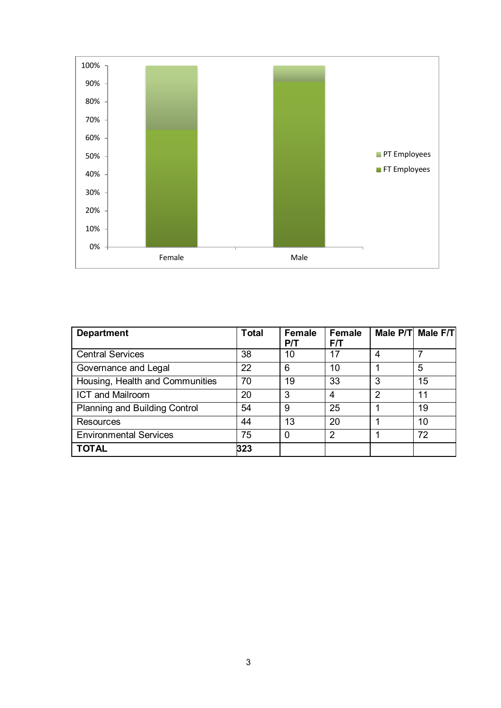

| <b>Department</b>               | <b>Total</b> | <b>Female</b><br>P/T | <b>Female</b><br>F/T |   | Male P/T Male F/T |
|---------------------------------|--------------|----------------------|----------------------|---|-------------------|
| <b>Central Services</b>         | 38           | 10                   | 17                   | 4 |                   |
| Governance and Legal            | 22           | 6                    | 10                   |   | 5                 |
| Housing, Health and Communities | 70           | 19                   | 33                   | 3 | 15                |
| <b>ICT and Mailroom</b>         | 20           | 3                    | 4                    | 2 | 11                |
| Planning and Building Control   | 54           | 9                    | 25                   |   | 19                |
| Resources                       | 44           | 13                   | 20                   |   | 10                |
| <b>Environmental Services</b>   | 75           | $\Omega$             | 2                    |   | 72                |
| <b>TOTAL</b>                    | 323          |                      |                      |   |                   |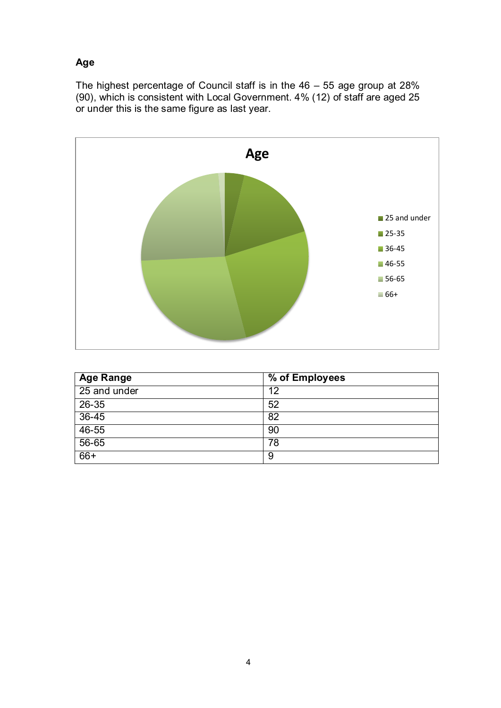### **Age**

The highest percentage of Council staff is in the 46 – 55 age group at 28% (90), which is consistent with Local Government. 4% (12) of staff are aged 25 or under this is the same figure as last year.



| <b>Age Range</b> | % of Employees |
|------------------|----------------|
| 25 and under     | 12             |
| $26 - 35$        | 52             |
| $36 - 45$        | 82             |
| $46 - 55$        | 90             |
| 56-65            | 78             |
| $66+$            | 9              |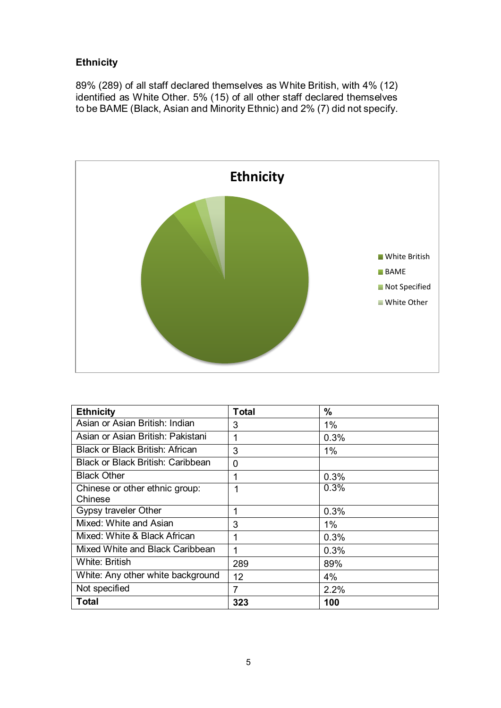## **Ethnicity**

89% (289) of all staff declared themselves as White British, with 4% (12) identified as White Other. 5% (15) of all other staff declared themselves to be BAME (Black, Asian and Minority Ethnic) and 2% (7) did not specify.



| <b>Ethnicity</b>                  | <b>Total</b>    | %     |
|-----------------------------------|-----------------|-------|
| Asian or Asian British: Indian    | 3               | 1%    |
| Asian or Asian British: Pakistani | 1               | 0.3%  |
| Black or Black British: African   | 3               | 1%    |
| Black or Black British: Caribbean | $\mathbf 0$     |       |
| <b>Black Other</b>                | 1               | 0.3%  |
| Chinese or other ethnic group:    | 1               | 0.3%  |
| Chinese                           |                 |       |
| Gypsy traveler Other              | 1               | 0.3%  |
| Mixed: White and Asian            | 3               | 1%    |
| Mixed: White & Black African      | 1               | 0.3%  |
| Mixed White and Black Caribbean   | 1               | 0.3%  |
| <b>White: British</b>             | 289             | 89%   |
| White: Any other white background | 12 <sup>2</sup> | $4\%$ |
| Not specified                     | 7               | 2.2%  |
| <b>Total</b>                      | 323             | 100   |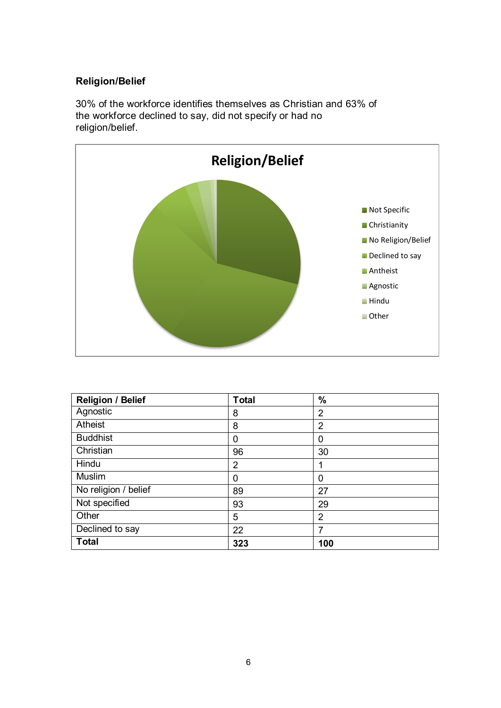## **Religion/Belief**

30% of the workforce identifies themselves as Christian and 63% of the workforce declined to say, did not specify or had no religion/belief.



| <b>Religion / Belief</b> | <b>Total</b>   | $\frac{0}{0}$  |
|--------------------------|----------------|----------------|
| Agnostic                 | 8              | $\overline{2}$ |
| Atheist                  | 8              | $\overline{2}$ |
| <b>Buddhist</b>          | 0              | 0              |
| Christian                | 96             | 30             |
| Hindu                    | $\overline{2}$ | 1              |
| <b>Muslim</b>            | 0              | 0              |
| No religion / belief     | 89             | 27             |
| Not specified            | 93             | 29             |
| Other                    | 5              | $\overline{2}$ |
| Declined to say          | 22             | 7              |
| <b>Total</b>             | 323            | 100            |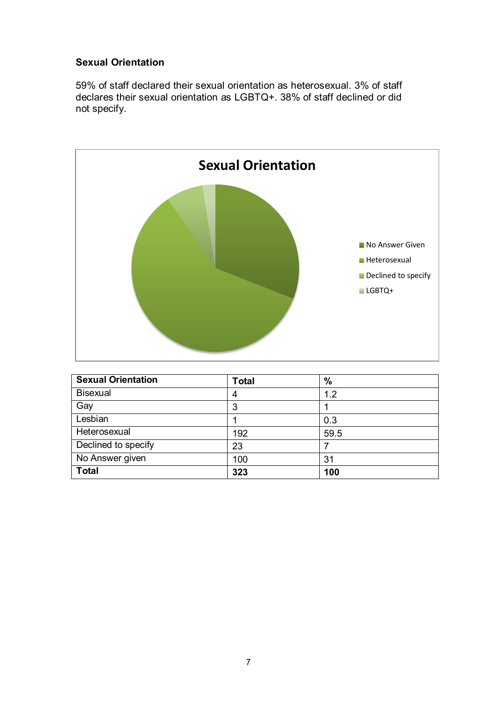### **Sexual Orientation**

59% of staff declared their sexual orientation as heterosexual. 3% of staff declares their sexual orientation as LGBTQ+. 38% of staff declined or did not specify.



| <b>Sexual Orientation</b> | <b>Total</b> | $\%$ |
|---------------------------|--------------|------|
| <b>Bisexual</b>           | 4            | 1.2  |
| Gay                       | 3            |      |
| Lesbian                   |              | 0.3  |
| Heterosexual              | 192          | 59.5 |
| Declined to specify       | 23           |      |
| No Answer given           | 100          | 31   |
| <b>Total</b>              | 323          | 100  |